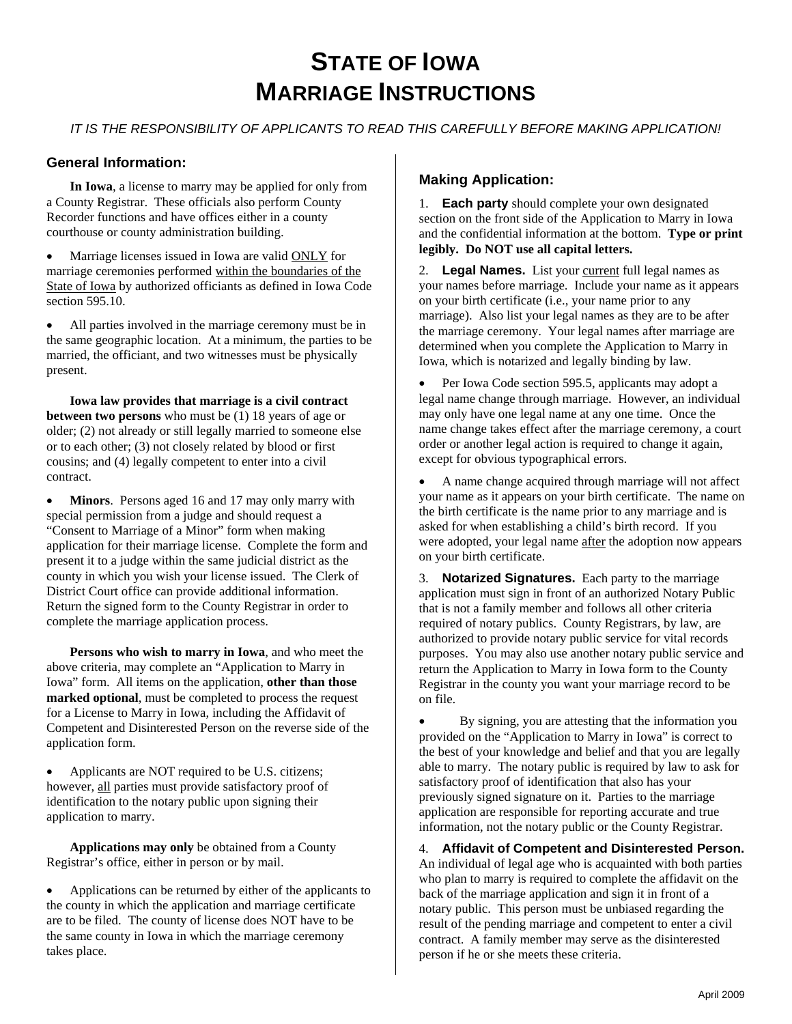# **STATE OF IOWA MARRIAGE INSTRUCTIONS**

*IT IS THE RESPONSIBILITY OF APPLICANTS TO READ THIS CAREFULLY BEFORE MAKING APPLICATION!* 

### **General Information:**

**In Iowa**, a license to marry may be applied for only from a County Registrar. These officials also perform County Recorder functions and have offices either in a county courthouse or county administration building.

Marriage licenses issued in Iowa are valid ONLY for marriage ceremonies performed within the boundaries of the State of Iowa by authorized officiants as defined in Iowa Code section 595.10.

All parties involved in the marriage ceremony must be in the same geographic location. At a minimum, the parties to be married, the officiant, and two witnesses must be physically present.

**Iowa law provides that marriage is a civil contract between two persons** who must be (1) 18 years of age or older; (2) not already or still legally married to someone else or to each other; (3) not closely related by blood or first cousins; and (4) legally competent to enter into a civil contract.

• **Minors**. Persons aged 16 and 17 may only marry with special permission from a judge and should request a "Consent to Marriage of a Minor" form when making application for their marriage license. Complete the form and present it to a judge within the same judicial district as the county in which you wish your license issued. The Clerk of District Court office can provide additional information. Return the signed form to the County Registrar in order to complete the marriage application process.

**Persons who wish to marry in Iowa**, and who meet the above criteria, may complete an "Application to Marry in Iowa" form. All items on the application, **other than those marked optional**, must be completed to process the request for a License to Marry in Iowa, including the Affidavit of Competent and Disinterested Person on the reverse side of the application form.

• Applicants are NOT required to be U.S. citizens; however, all parties must provide satisfactory proof of identification to the notary public upon signing their application to marry.

**Applications may only** be obtained from a County Registrar's office, either in person or by mail.

• Applications can be returned by either of the applicants to the county in which the application and marriage certificate are to be filed. The county of license does NOT have to be the same county in Iowa in which the marriage ceremony takes place.

## **Making Application:**

1. **Each party** should complete your own designated section on the front side of the Application to Marry in Iowa and the confidential information at the bottom. **Type or print legibly. Do NOT use all capital letters.**

2. Legal Names. List your current full legal names as your names before marriage. Include your name as it appears on your birth certificate (i.e., your name prior to any marriage). Also list your legal names as they are to be after the marriage ceremony. Your legal names after marriage are determined when you complete the Application to Marry in Iowa, which is notarized and legally binding by law.

• Per Iowa Code section 595.5, applicants may adopt a legal name change through marriage. However, an individual may only have one legal name at any one time. Once the name change takes effect after the marriage ceremony, a court order or another legal action is required to change it again, except for obvious typographical errors.

• A name change acquired through marriage will not affect your name as it appears on your birth certificate. The name on the birth certificate is the name prior to any marriage and is asked for when establishing a child's birth record. If you were adopted, your legal name after the adoption now appears on your birth certificate.

3. **Notarized Signatures.** Each party to the marriage application must sign in front of an authorized Notary Public that is not a family member and follows all other criteria required of notary publics. County Registrars, by law, are authorized to provide notary public service for vital records purposes. You may also use another notary public service and return the Application to Marry in Iowa form to the County Registrar in the county you want your marriage record to be on file.

• By signing, you are attesting that the information you provided on the "Application to Marry in Iowa" is correct to the best of your knowledge and belief and that you are legally able to marry. The notary public is required by law to ask for satisfactory proof of identification that also has your previously signed signature on it. Parties to the marriage application are responsible for reporting accurate and true information, not the notary public or the County Registrar.

4. **Affidavit of Competent and Disinterested Person.** An individual of legal age who is acquainted with both parties who plan to marry is required to complete the affidavit on the back of the marriage application and sign it in front of a notary public. This person must be unbiased regarding the result of the pending marriage and competent to enter a civil contract. A family member may serve as the disinterested person if he or she meets these criteria.